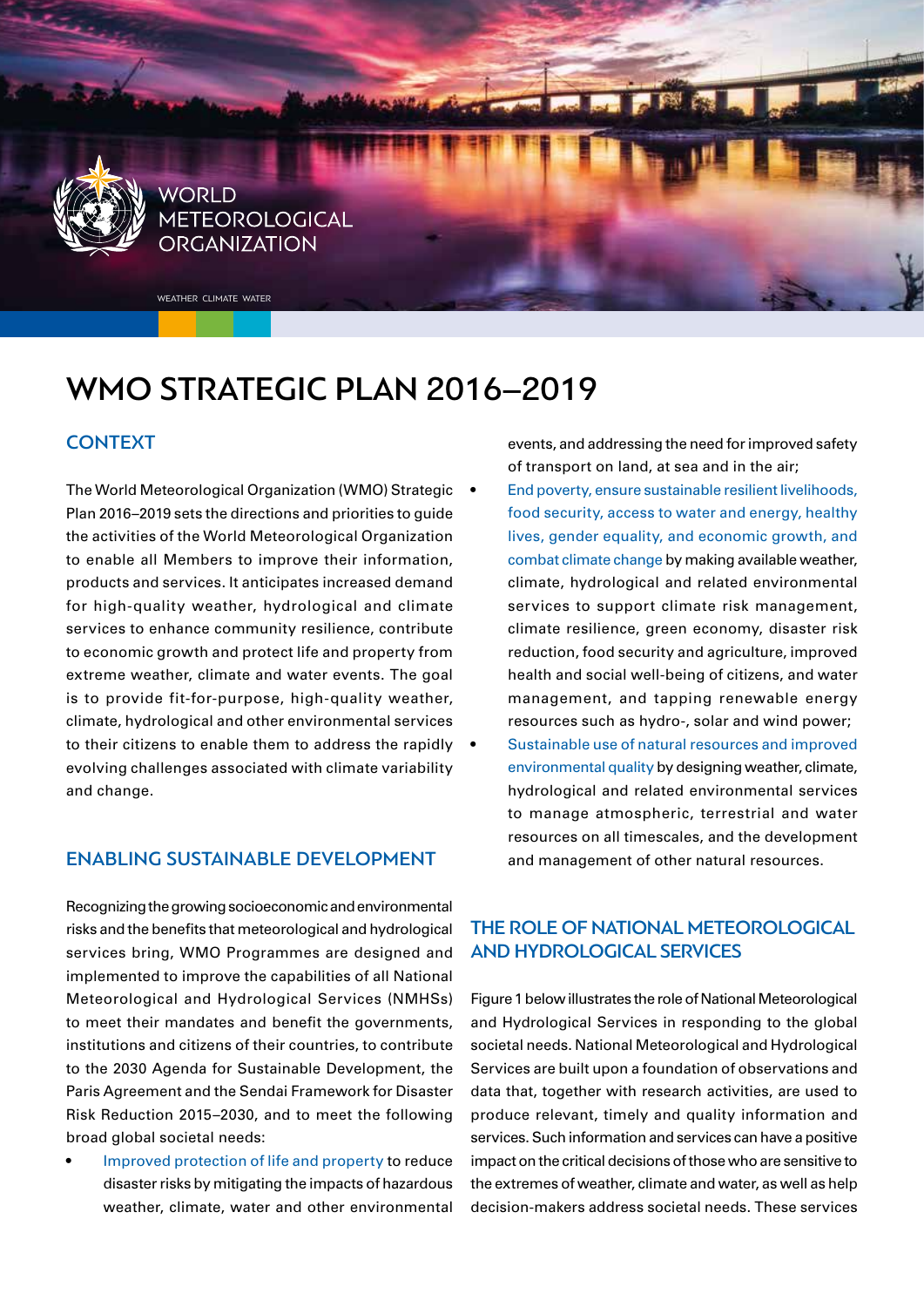

# WMO STRATEGIC PLAN 2016–2019

#### **CONTEXT**

The World Meteorological Organization (WMO) Strategic . Plan 2016–2019 sets the directions and priorities to guide the activities of the World Meteorological Organization to enable all Members to improve their information, products and services. It anticipates increased demand for high-quality weather, hydrological and climate services to enhance community resilience, contribute to economic growth and protect life and property from extreme weather, climate and water events. The goal is to provide fit-for-purpose, high-quality weather, climate, hydrological and other environmental services to their citizens to enable them to address the rapidly  $\bullet$ evolving challenges associated with climate variability and change.

#### ENABLING SUSTAINABLE DEVELOPMENT

Recognizing the growing socioeconomic and environmental risks and the benefits that meteorological and hydrological services bring, WMO Programmes are designed and implemented to improve the capabilities of all National Meteorological and Hydrological Services (NMHSs) to meet their mandates and benefit the governments, institutions and citizens of their countries, to contribute to the 2030 Agenda for Sustainable Development, the Paris Agreement and the Sendai Framework for Disaster Risk Reduction 2015–2030, and to meet the following broad global societal needs:

• Improved protection of life and property to reduce disaster risks by mitigating the impacts of hazardous weather, climate, water and other environmental events, and addressing the need for improved safety of transport on land, at sea and in the air;

- End poverty, ensure sustainable resilient livelihoods, food security, access to water and energy, healthy lives, gender equality, and economic growth, and combat climate change by making available weather, climate, hydrological and related environmental services to support climate risk management, climate resilience, green economy, disaster risk reduction, food security and agriculture, improved health and social well-being of citizens, and water management, and tapping renewable energy resources such as hydro-, solar and wind power;
- Sustainable use of natural resources and improved environmental quality by designing weather, climate, hydrological and related environmental services to manage atmospheric, terrestrial and water resources on all timescales, and the development and management of other natural resources.

### THE ROLE OF NATIONAL METEOROLOGICAL AND HYDROLOGICAL SERVICES

Figure 1 below illustrates the role of National Meteorological and Hydrological Services in responding to the global societal needs. National Meteorological and Hydrological Services are built upon a foundation of observations and data that, together with research activities, are used to produce relevant, timely and quality information and services. Such information and services can have a positive impact on the critical decisions of those who are sensitive to the extremes of weather, climate and water, as well as help decision-makers address societal needs. These services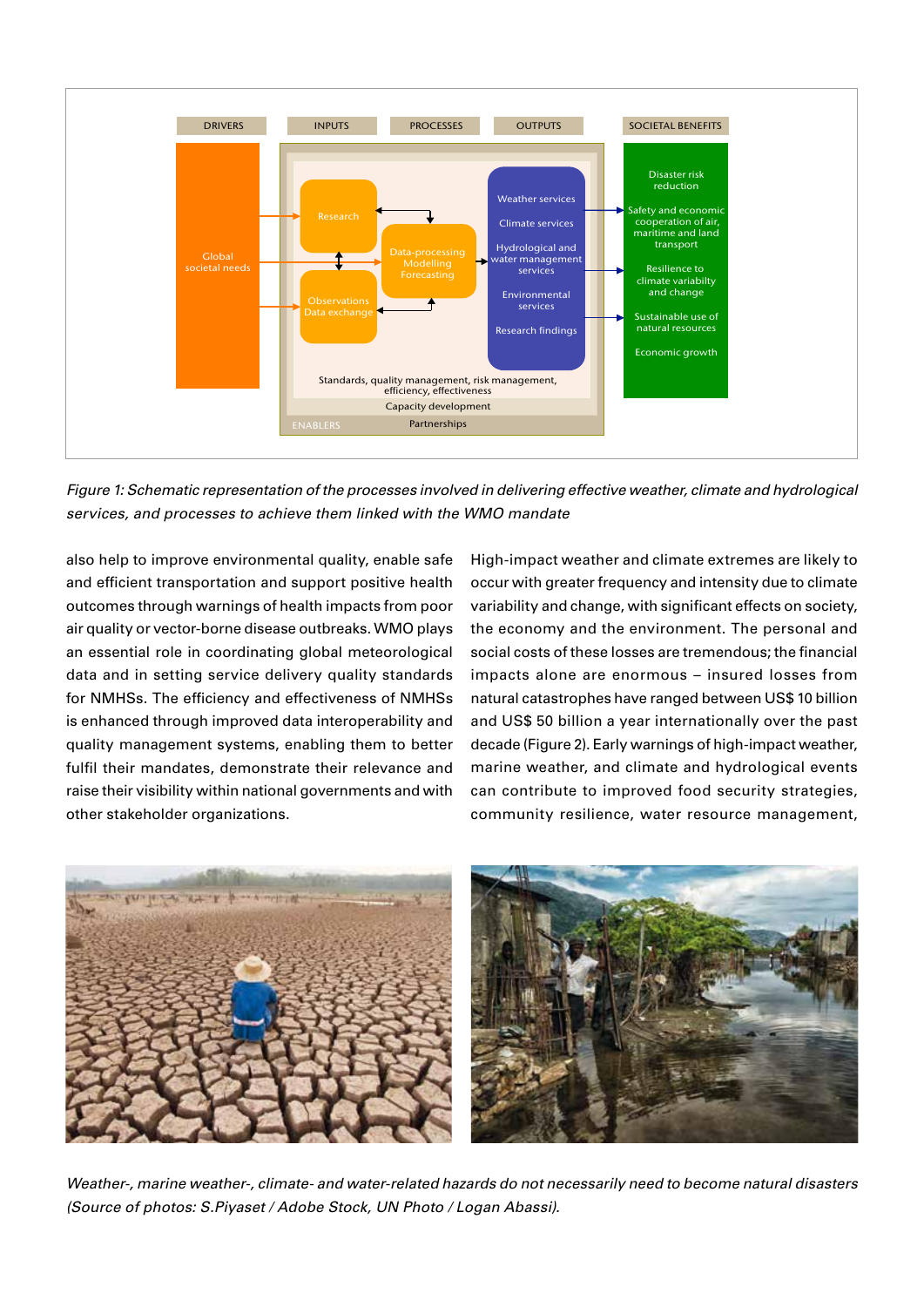

*Figure 1: Schematic representation of the processes involved in delivering effective weather, climate and hydrological services, and processes to achieve them linked with the WMO mandate*

also help to improve environmental quality, enable safe and efficient transportation and support positive health outcomes through warnings of health impacts from poor air quality or vector-borne disease outbreaks. WMO plays an essential role in coordinating global meteorological data and in setting service delivery quality standards for NMHSs. The efficiency and effectiveness of NMHSs is enhanced through improved data interoperability and quality management systems, enabling them to better fulfil their mandates, demonstrate their relevance and raise their visibility within national governments and with other stakeholder organizations.

High-impact weather and climate extremes are likely to occur with greater frequency and intensity due to climate variability and change, with significant effects on society, the economy and the environment. The personal and social costs of these losses are tremendous; the financial impacts alone are enormous – insured losses from natural catastrophes have ranged between US\$ 10 billion and US\$ 50 billion a year internationally over the past decade (Figure 2). Early warnings of high-impact weather, marine weather, and climate and hydrological events can contribute to improved food security strategies, community resilience, water resource management,



*Weather-, marine weather-, climate- and water-related hazards do not necessarily need to become natural disasters (Source of photos: S.Piyaset / Adobe Stock, UN Photo / Logan Abassi).*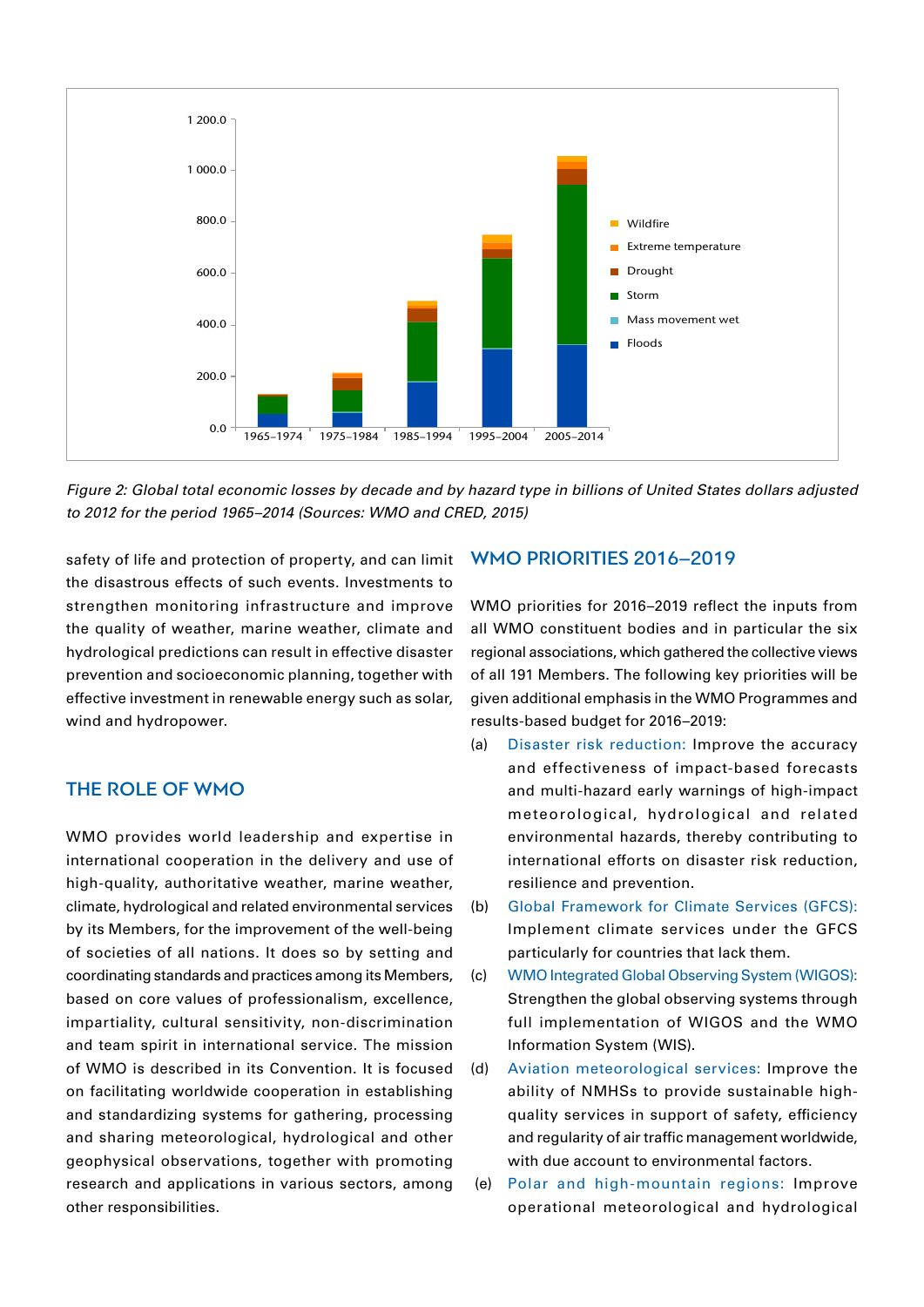

*Figure 2: Global total economic losses by decade and by hazard type in billions of United States dollars adjusted to 2012 for the period 1965–2014 (Sources: WMO and CRED, 2015)*

safety of life and protection of property, and can limit the disastrous effects of such events. Investments to strengthen monitoring infrastructure and improve the quality of weather, marine weather, climate and hydrological predictions can result in effective disaster prevention and socioeconomic planning, together with effective investment in renewable energy such as solar, wind and hydropower.

#### THE ROLE OF WMO

WMO provides world leadership and expertise in international cooperation in the delivery and use of high-quality, authoritative weather, marine weather, climate, hydrological and related environmental services by its Members, for the improvement of the well-being of societies of all nations. It does so by setting and coordinating standards and practices among its Members, based on core values of professionalism, excellence, impartiality, cultural sensitivity, non-discrimination and team spirit in international service. The mission of WMO is described in its Convention. It is focused on facilitating worldwide cooperation in establishing and standardizing systems for gathering, processing and sharing meteorological, hydrological and other geophysical observations, together with promoting research and applications in various sectors, among other responsibilities.

#### WMO PRIORITIES 2016–2019

WMO priorities for 2016–2019 reflect the inputs from all WMO constituent bodies and in particular the six regional associations, which gathered the collective views of all 191 Members. The following key priorities will be given additional emphasis in the WMO Programmes and results-based budget for 2016–2019:

- (a) Disaster risk reduction: Improve the accuracy and effectiveness of impact-based forecasts and multi-hazard early warnings of high-impact meteorological, hydrological and related environmental hazards, thereby contributing to international efforts on disaster risk reduction, resilience and prevention.
- (b) Global Framework for Climate Services (GFCS): Implement climate services under the GFCS particularly for countries that lack them.
- (c) WMO Integrated Global Observing System (WIGOS): Strengthen the global observing systems through full implementation of WIGOS and the WMO Information System (WIS).
- (d) Aviation meteorological services: Improve the ability of NMHSs to provide sustainable highquality services in support of safety, efficiency and regularity of air traffic management worldwide, with due account to environmental factors.
- (e) Polar and high-mountain regions: Improve operational meteorological and hydrological